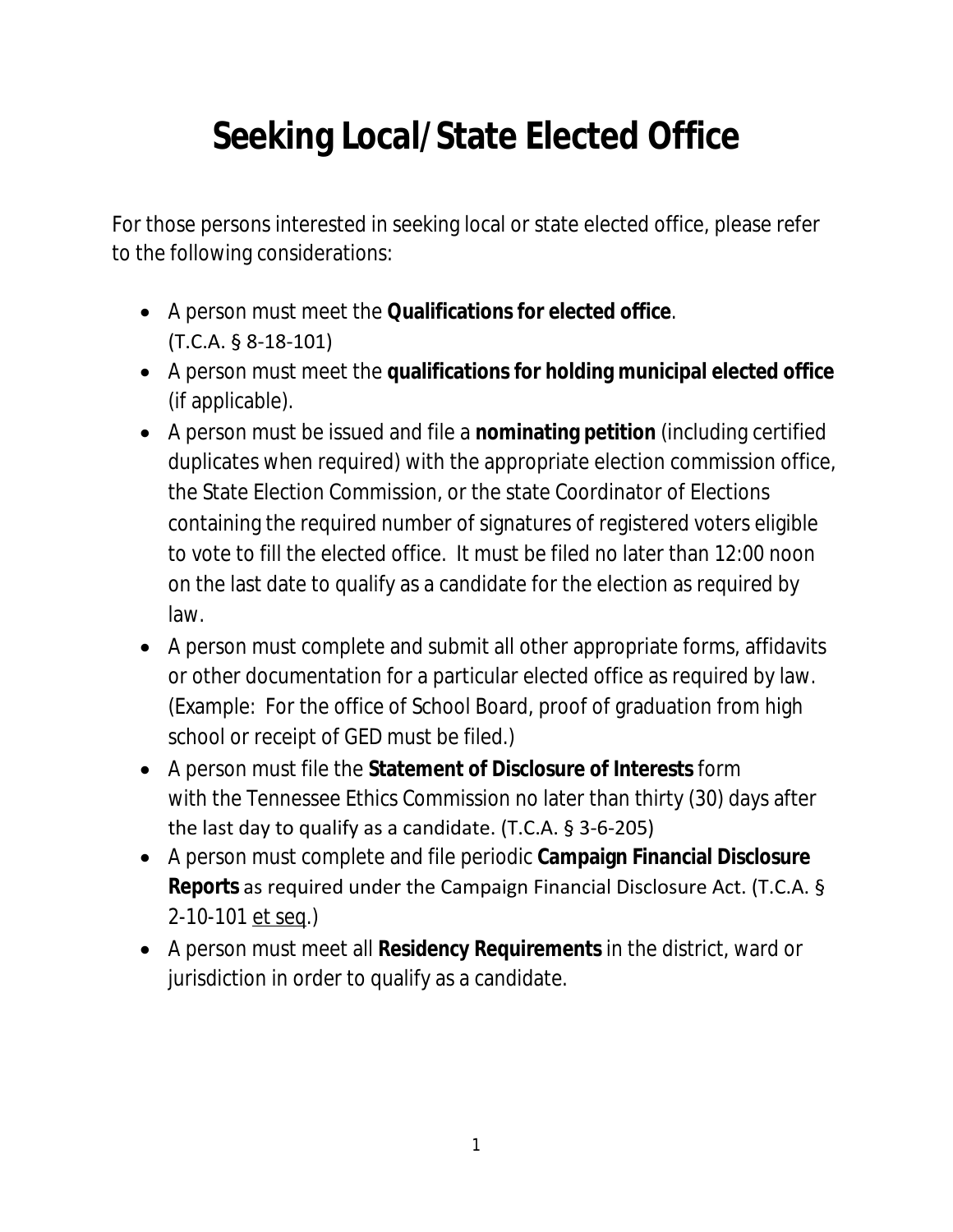# **Seeking Local/State Elected Office**

For those persons interested in seeking local or state elected office, please refer to the following considerations:

- A person must meet the **Qualifications for elected office**. (T.C.A. § 8-18-101)
- A person must meet the **qualifications for holding municipal elected office** (if applicable).
- A person must be issued and file a **nominating petition** (including certified duplicates when required) with the appropriate election commission office, the State Election Commission, or the state Coordinator of Elections containing the required number of signatures of registered voters eligible to vote to fill the elected office. It must be filed no later than 12:00 noon on the last date to qualify as a candidate for the election as required by law.
- A person must complete and submit all other appropriate forms, affidavits or other documentation for a particular elected office as required by law. (Example: For the office of School Board, proof of graduation from high school or receipt of GED must be filed.)
- A person must file the **Statement of Disclosure of Interests** form with the Tennessee Ethics Commission no later than thirty (30) days after the last day to qualify as a candidate. (T.C.A. § 3-6-205)
- A person must complete and file periodic **Campaign Financial Disclosure Reports** as required under the Campaign Financial Disclosure Act. (T.C.A. § 2-10-101 et seq.)
- A person must meet all **Residency Requirements** in the district, ward or jurisdiction in order to qualify as a candidate.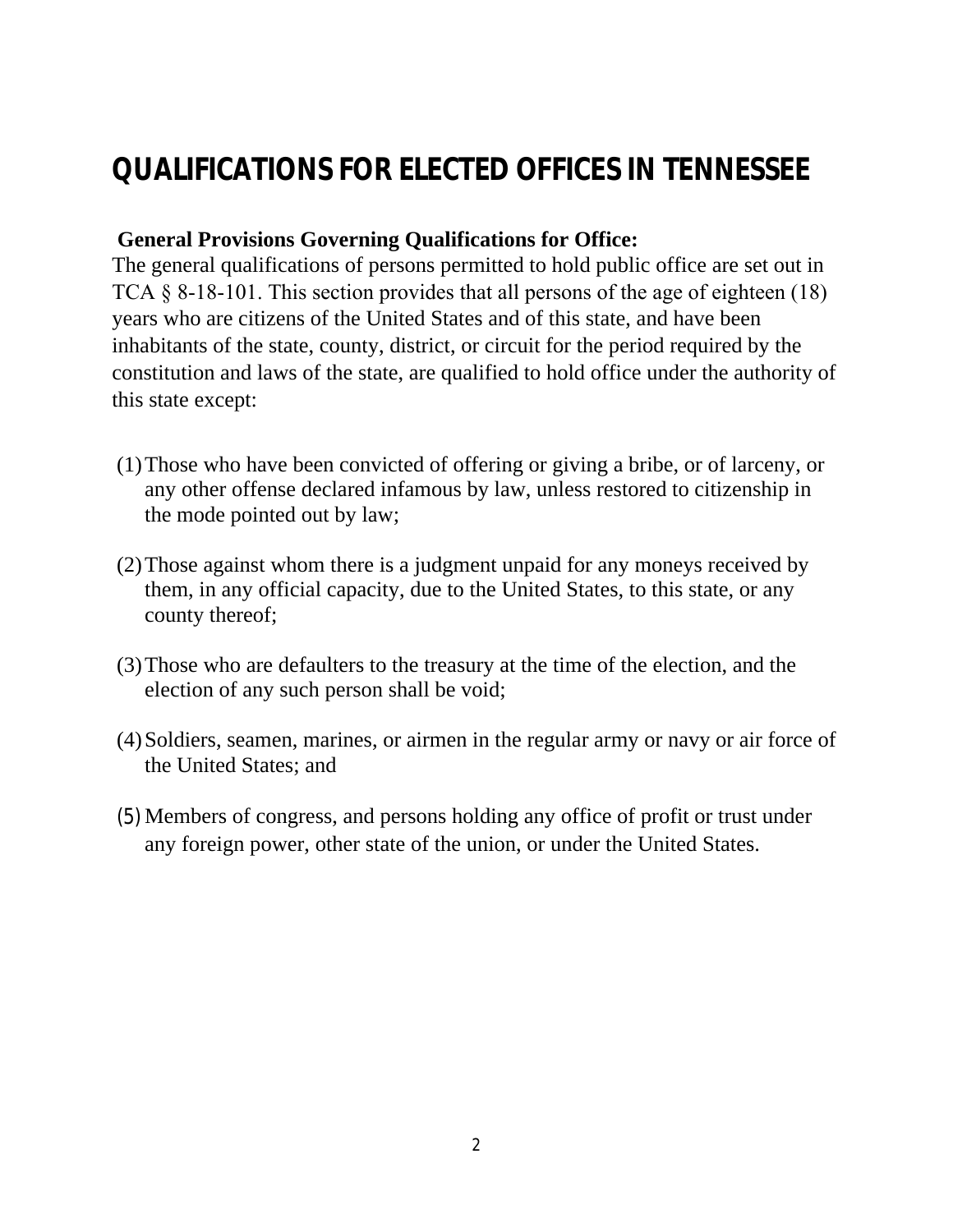# **QUALIFICATIONS FOR ELECTED OFFICES IN TENNESSEE**

#### **General Provisions Governing Qualifications for Office:**

The general qualifications of persons permitted to hold public office are set out in TCA § 8-18-101. This section provides that all persons of the age of eighteen (18) years who are citizens of the United States and of this state, and have been inhabitants of the state, county, district, or circuit for the period required by the constitution and laws of the state, are qualified to hold office under the authority of this state except:

- (1)Those who have been convicted of offering or giving a bribe, or of larceny, or any other offense declared infamous by law, unless restored to citizenship in the mode pointed out by law;
- (2)Those against whom there is a judgment unpaid for any moneys received by them, in any official capacity, due to the United States, to this state, or any county thereof;
- (3)Those who are defaulters to the treasury at the time of the election, and the election of any such person shall be void;
- (4)Soldiers, seamen, marines, or airmen in the regular army or navy or air force of the United States; and
- (5) Members of congress, and persons holding any office of profit or trust under any foreign power, other state of the union, or under the United States.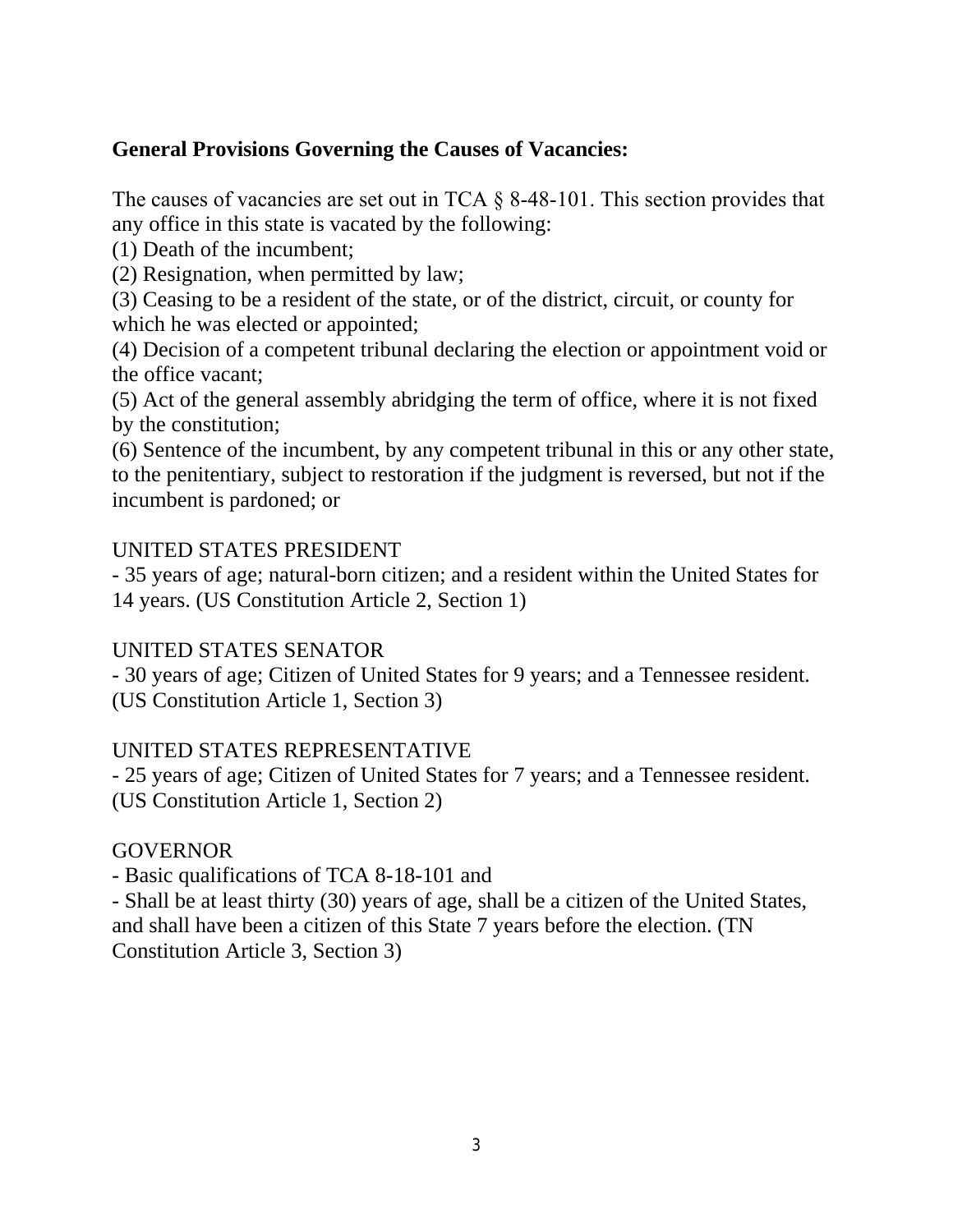#### **General Provisions Governing the Causes of Vacancies:**

The causes of vacancies are set out in TCA § 8-48-101. This section provides that any office in this state is vacated by the following:

(1) Death of the incumbent;

(2) Resignation, when permitted by law;

(3) Ceasing to be a resident of the state, or of the district, circuit, or county for which he was elected or appointed;

(4) Decision of a competent tribunal declaring the election or appointment void or the office vacant;

(5) Act of the general assembly abridging the term of office, where it is not fixed by the constitution;

(6) Sentence of the incumbent, by any competent tribunal in this or any other state, to the penitentiary, subject to restoration if the judgment is reversed, but not if the incumbent is pardoned; or

#### UNITED STATES PRESIDENT

- 35 years of age; natural-born citizen; and a resident within the United States for 14 years. (US Constitution Article 2, Section 1)

#### UNITED STATES SENATOR

- 30 years of age; Citizen of United States for 9 years; and a Tennessee resident. (US Constitution Article 1, Section 3)

#### UNITED STATES REPRESENTATIVE

- 25 years of age; Citizen of United States for 7 years; and a Tennessee resident. (US Constitution Article 1, Section 2)

#### GOVERNOR

- Basic qualifications of TCA 8-18-101 and

- Shall be at least thirty (30) years of age, shall be a citizen of the United States, and shall have been a citizen of this State 7 years before the election. (TN Constitution Article 3, Section 3)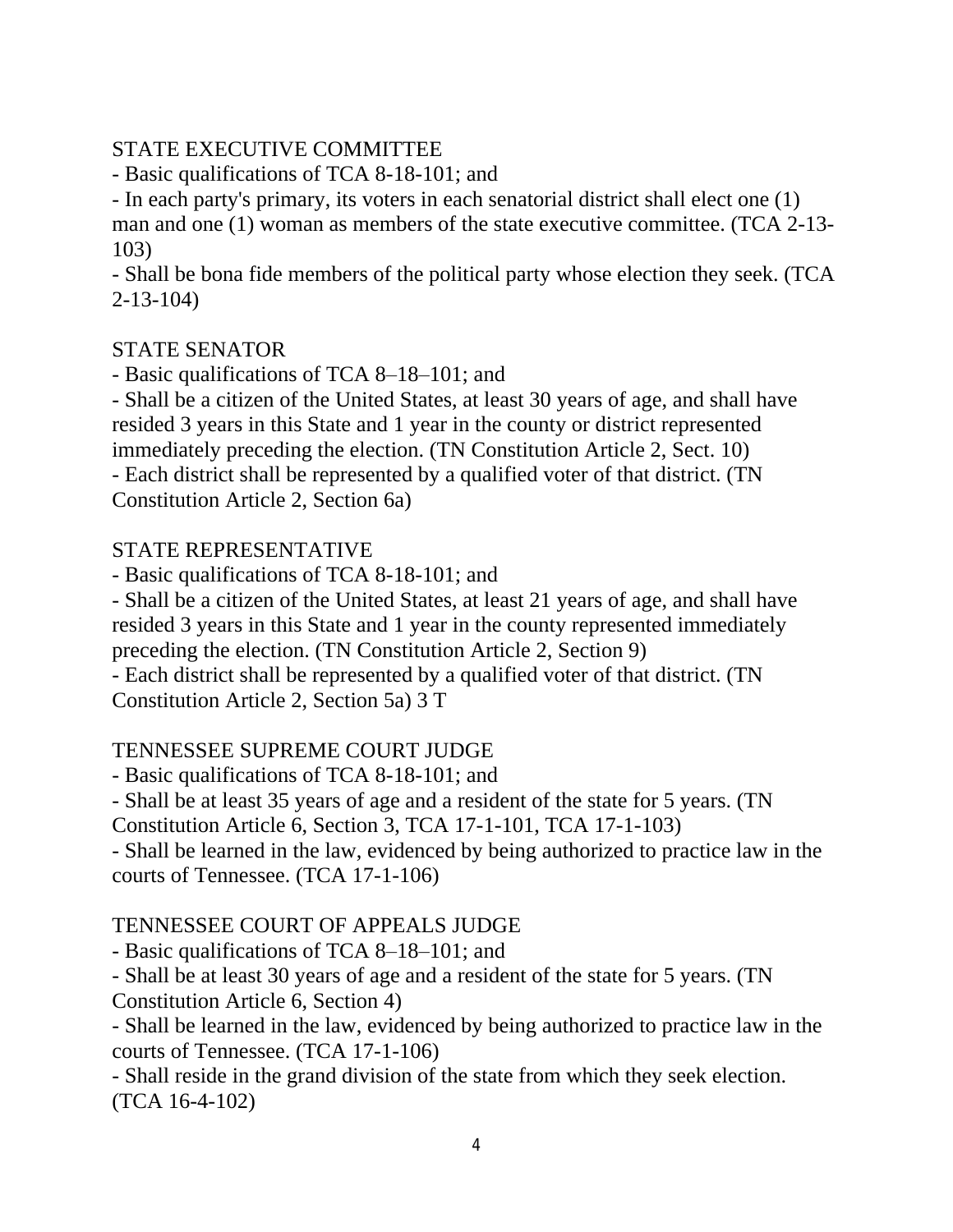#### STATE EXECUTIVE COMMITTEE

- Basic qualifications of TCA 8-18-101; and

- In each party's primary, its voters in each senatorial district shall elect one (1)

man and one (1) woman as members of the state executive committee. (TCA 2-13- 103)

- Shall be bona fide members of the political party whose election they seek. (TCA 2-13-104)

#### STATE SENATOR

- Basic qualifications of TCA 8–18–101; and

- Shall be a citizen of the United States, at least 30 years of age, and shall have resided 3 years in this State and 1 year in the county or district represented immediately preceding the election. (TN Constitution Article 2, Sect. 10)

- Each district shall be represented by a qualified voter of that district. (TN Constitution Article 2, Section 6a)

#### STATE REPRESENTATIVE

- Basic qualifications of TCA 8-18-101; and

- Shall be a citizen of the United States, at least 21 years of age, and shall have resided 3 years in this State and 1 year in the county represented immediately preceding the election. (TN Constitution Article 2, Section 9)

- Each district shall be represented by a qualified voter of that district. (TN Constitution Article 2, Section 5a) 3 T

#### TENNESSEE SUPREME COURT JUDGE

- Basic qualifications of TCA 8-18-101; and

- Shall be at least 35 years of age and a resident of the state for 5 years. (TN

Constitution Article 6, Section 3, TCA 17-1-101, TCA 17-1-103)

- Shall be learned in the law, evidenced by being authorized to practice law in the courts of Tennessee. (TCA 17-1-106)

#### TENNESSEE COURT OF APPEALS JUDGE

- Basic qualifications of TCA 8–18–101; and

- Shall be at least 30 years of age and a resident of the state for 5 years. (TN

Constitution Article 6, Section 4)

- Shall be learned in the law, evidenced by being authorized to practice law in the courts of Tennessee. (TCA 17-1-106)

- Shall reside in the grand division of the state from which they seek election. (TCA 16-4-102)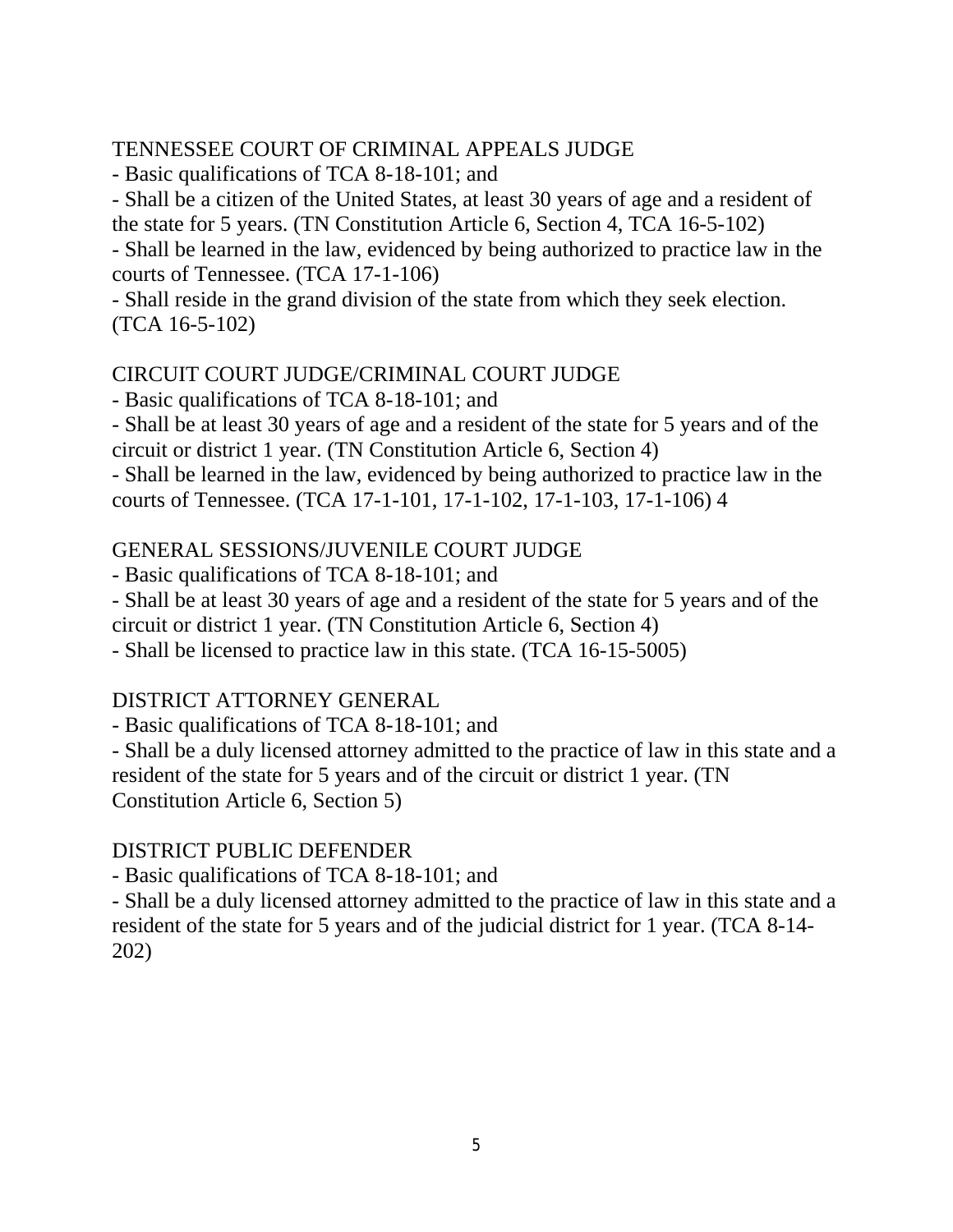#### TENNESSEE COURT OF CRIMINAL APPEALS JUDGE

- Basic qualifications of TCA 8-18-101; and

- Shall be a citizen of the United States, at least 30 years of age and a resident of the state for 5 years. (TN Constitution Article 6, Section 4, TCA 16-5-102)

- Shall be learned in the law, evidenced by being authorized to practice law in the courts of Tennessee. (TCA 17-1-106)

- Shall reside in the grand division of the state from which they seek election. (TCA 16-5-102)

#### CIRCUIT COURT JUDGE/CRIMINAL COURT JUDGE

- Basic qualifications of TCA 8-18-101; and

- Shall be at least 30 years of age and a resident of the state for 5 years and of the circuit or district 1 year. (TN Constitution Article 6, Section 4)

- Shall be learned in the law, evidenced by being authorized to practice law in the courts of Tennessee. (TCA 17-1-101, 17-1-102, 17-1-103, 17-1-106) 4

#### GENERAL SESSIONS/JUVENILE COURT JUDGE

- Basic qualifications of TCA 8-18-101; and

- Shall be at least 30 years of age and a resident of the state for 5 years and of the circuit or district 1 year. (TN Constitution Article 6, Section 4)

- Shall be licensed to practice law in this state. (TCA 16-15-5005)

#### DISTRICT ATTORNEY GENERAL

- Basic qualifications of TCA 8-18-101; and

- Shall be a duly licensed attorney admitted to the practice of law in this state and a resident of the state for 5 years and of the circuit or district 1 year. (TN Constitution Article 6, Section 5)

#### DISTRICT PUBLIC DEFENDER

- Basic qualifications of TCA 8-18-101; and

- Shall be a duly licensed attorney admitted to the practice of law in this state and a resident of the state for 5 years and of the judicial district for 1 year. (TCA 8-14- 202)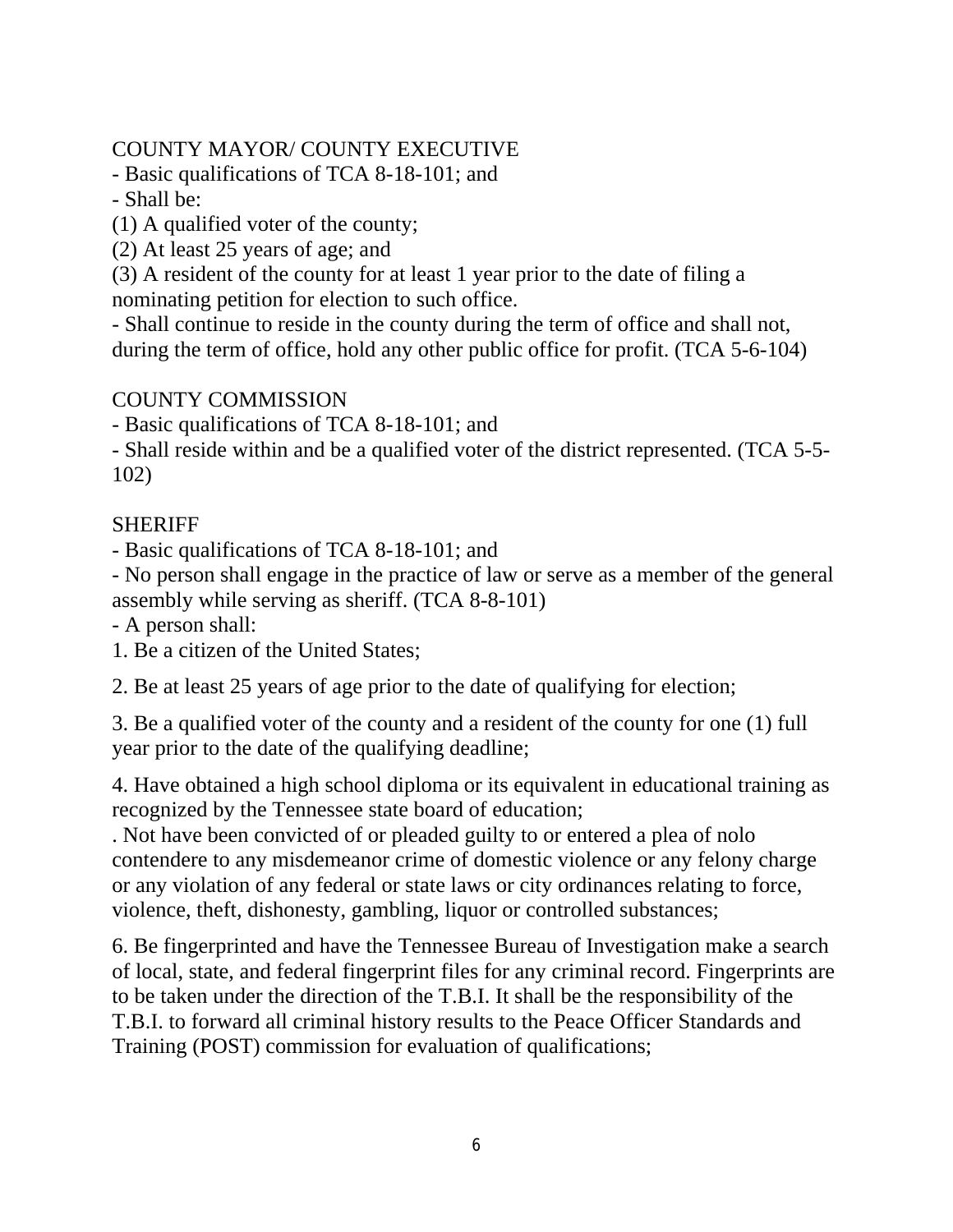#### COUNTY MAYOR/ COUNTY EXECUTIVE

- Basic qualifications of TCA 8-18-101; and

- Shall be:

(1) A qualified voter of the county;

(2) At least 25 years of age; and

(3) A resident of the county for at least 1 year prior to the date of filing a nominating petition for election to such office.

- Shall continue to reside in the county during the term of office and shall not, during the term of office, hold any other public office for profit. (TCA 5-6-104)

#### COUNTY COMMISSION

- Basic qualifications of TCA 8-18-101; and

- Shall reside within and be a qualified voter of the district represented. (TCA 5-5- 102)

#### **SHERIFF**

- Basic qualifications of TCA 8-18-101; and

- No person shall engage in the practice of law or serve as a member of the general assembly while serving as sheriff. (TCA 8-8-101)

- A person shall:

1. Be a citizen of the United States;

2. Be at least 25 years of age prior to the date of qualifying for election;

3. Be a qualified voter of the county and a resident of the county for one (1) full year prior to the date of the qualifying deadline;

4. Have obtained a high school diploma or its equivalent in educational training as recognized by the Tennessee state board of education;

. Not have been convicted of or pleaded guilty to or entered a plea of nolo contendere to any misdemeanor crime of domestic violence or any felony charge or any violation of any federal or state laws or city ordinances relating to force, violence, theft, dishonesty, gambling, liquor or controlled substances;

6. Be fingerprinted and have the Tennessee Bureau of Investigation make a search of local, state, and federal fingerprint files for any criminal record. Fingerprints are to be taken under the direction of the T.B.I. It shall be the responsibility of the T.B.I. to forward all criminal history results to the Peace Officer Standards and Training (POST) commission for evaluation of qualifications;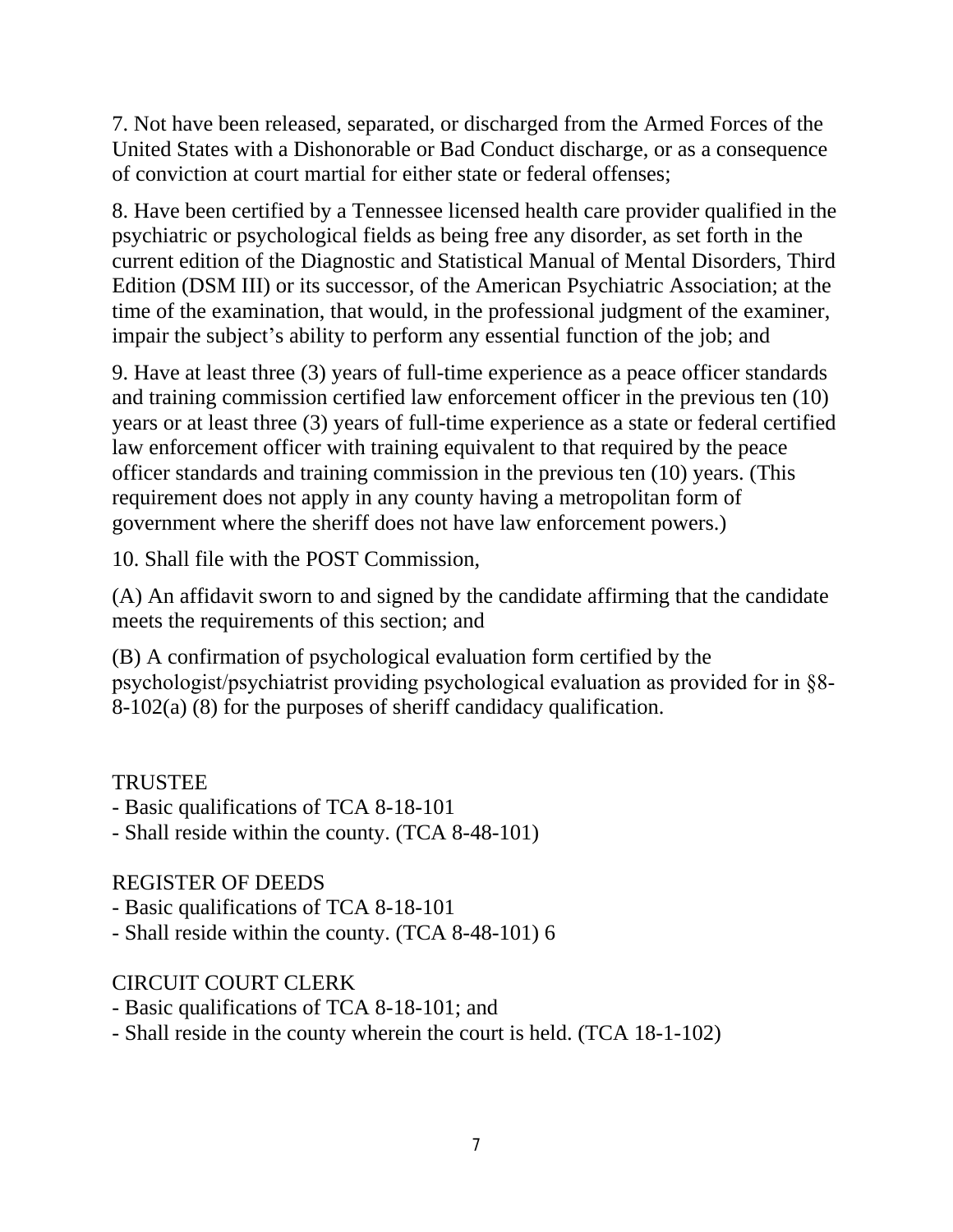7. Not have been released, separated, or discharged from the Armed Forces of the United States with a Dishonorable or Bad Conduct discharge, or as a consequence of conviction at court martial for either state or federal offenses;

8. Have been certified by a Tennessee licensed health care provider qualified in the psychiatric or psychological fields as being free any disorder, as set forth in the current edition of the Diagnostic and Statistical Manual of Mental Disorders, Third Edition (DSM III) or its successor, of the American Psychiatric Association; at the time of the examination, that would, in the professional judgment of the examiner, impair the subject's ability to perform any essential function of the job; and

9. Have at least three (3) years of full-time experience as a peace officer standards and training commission certified law enforcement officer in the previous ten (10) years or at least three (3) years of full-time experience as a state or federal certified law enforcement officer with training equivalent to that required by the peace officer standards and training commission in the previous ten (10) years. (This requirement does not apply in any county having a metropolitan form of government where the sheriff does not have law enforcement powers.)

10. Shall file with the POST Commission,

(A) An affidavit sworn to and signed by the candidate affirming that the candidate meets the requirements of this section; and

(B) A confirmation of psychological evaluation form certified by the psychologist/psychiatrist providing psychological evaluation as provided for in §8- 8-102(a) (8) for the purposes of sheriff candidacy qualification.

#### **TRUSTEE**

- Basic qualifications of TCA 8-18-101
- Shall reside within the county. (TCA 8-48-101)

#### REGISTER OF DEEDS

- Basic qualifications of TCA 8-18-101
- Shall reside within the county. (TCA 8-48-101) 6

#### CIRCUIT COURT CLERK

- Basic qualifications of TCA 8-18-101; and
- Shall reside in the county wherein the court is held. (TCA 18-1-102)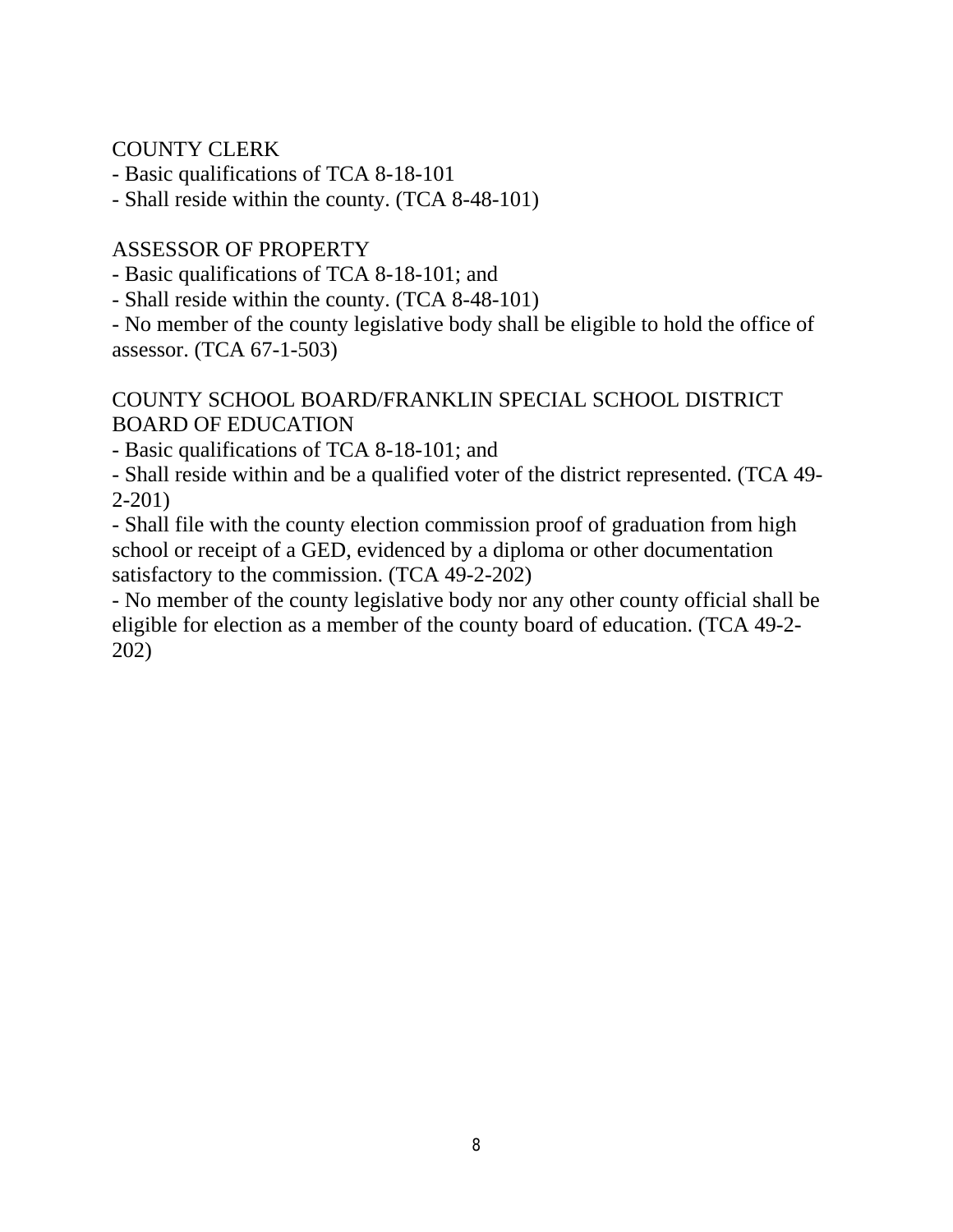COUNTY CLERK

- Basic qualifications of TCA 8-18-101

- Shall reside within the county. (TCA 8-48-101)

#### ASSESSOR OF PROPERTY

- Basic qualifications of TCA 8-18-101; and

- Shall reside within the county. (TCA 8-48-101)

- No member of the county legislative body shall be eligible to hold the office of assessor. (TCA 67-1-503)

#### COUNTY SCHOOL BOARD/FRANKLIN SPECIAL SCHOOL DISTRICT BOARD OF EDUCATION

- Basic qualifications of TCA 8-18-101; and

- Shall reside within and be a qualified voter of the district represented. (TCA 49- 2-201)

- Shall file with the county election commission proof of graduation from high school or receipt of a GED, evidenced by a diploma or other documentation satisfactory to the commission. (TCA 49-2-202)

- No member of the county legislative body nor any other county official shall be eligible for election as a member of the county board of education. (TCA 49-2- 202)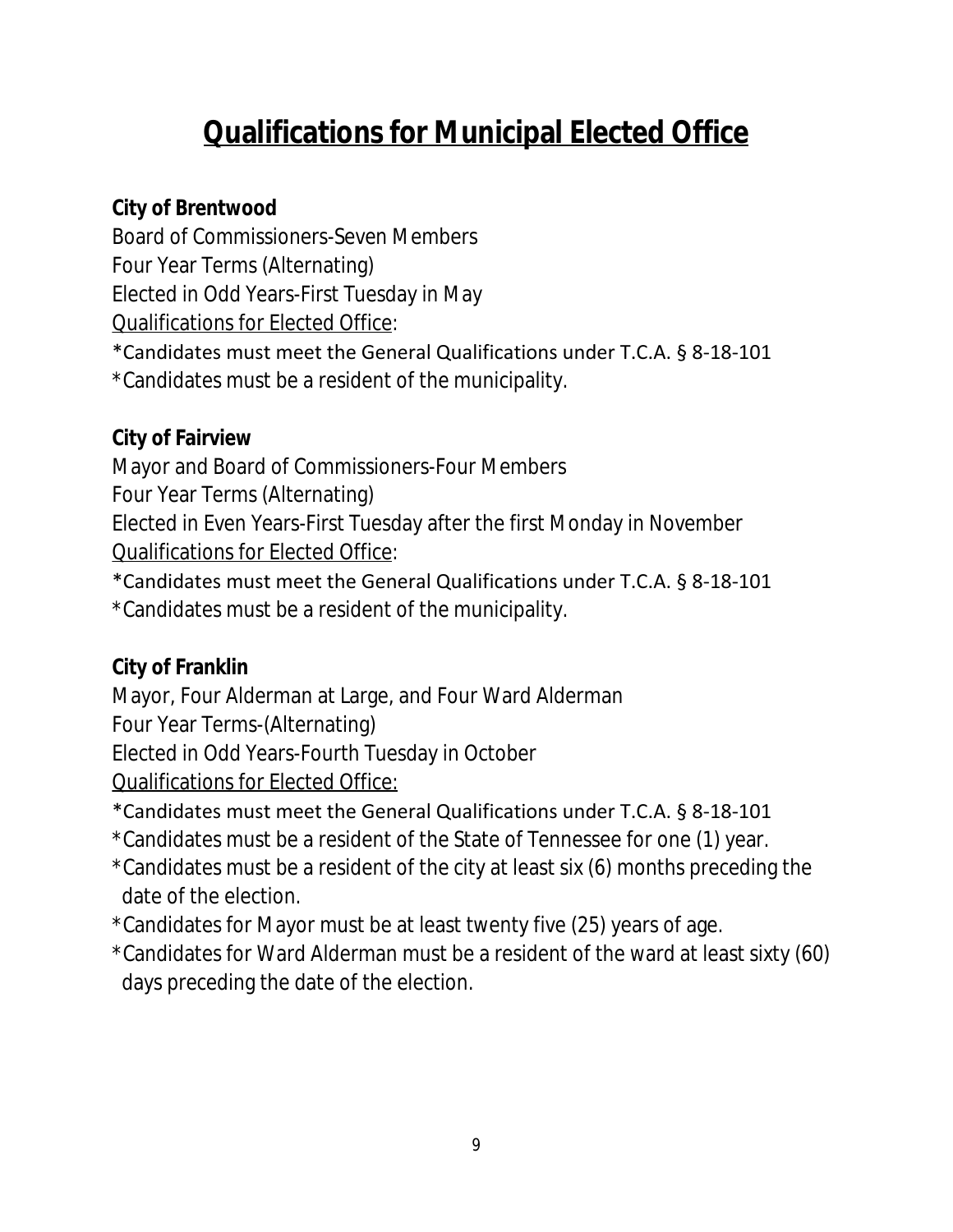# **Qualifications for Municipal Elected Office**

## **City of Brentwood**

Board of Commissioners-Seven Members Four Year Terms (Alternating) Elected in Odd Years-First Tuesday in May Qualifications for Elected Office:

\*Candidates must meet the General Qualifications under T.C.A. § 8-18-101 \*Candidates must be a resident of the municipality.

# **City of Fairview**

Mayor and Board of Commissioners-Four Members

Four Year Terms (Alternating)

Elected in Even Years-First Tuesday after the first Monday in November Qualifications for Elected Office:

\*Candidates must meet the General Qualifications under T.C.A. § 8-18-101 \*Candidates must be a resident of the municipality.

# **City of Franklin**

Mayor, Four Alderman at Large, and Four Ward Alderman Four Year Terms-(Alternating)

Elected in Odd Years-Fourth Tuesday in October

Qualifications for Elected Office:

\*Candidates must meet the General Qualifications under T.C.A. § 8-18-101

- \*Candidates must be a resident of the State of Tennessee for one (1) year.
- \*Candidates must be a resident of the city at least six (6) months preceding the date of the election.
- \*Candidates for Mayor must be at least twenty five (25) years of age.
- \*Candidates for Ward Alderman must be a resident of the ward at least sixty (60) days preceding the date of the election.